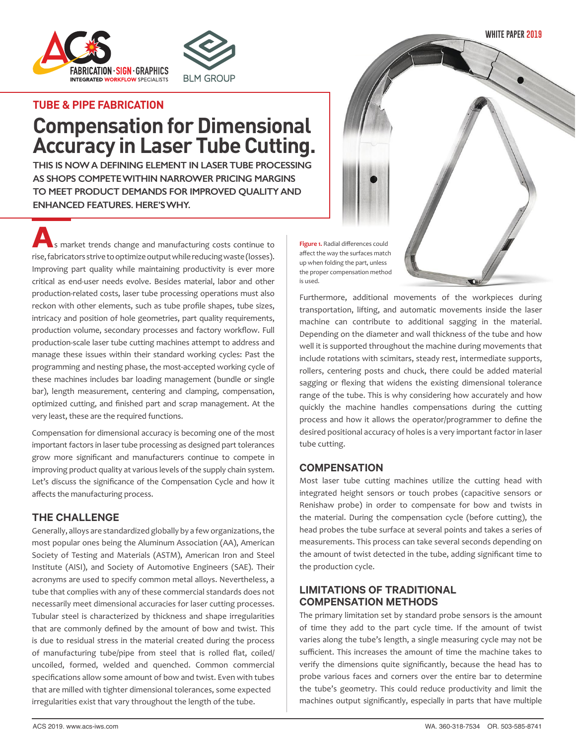**WHITE PAPER 2019**





#### **TUBE & PIPE FABRICATION**

# **Compensation for Dimensional Accuracy in Laser Tube Cutting.**

**THIS IS NOW A DEFINING ELEMENT IN LASER TUBE PROCESSING AS SHOPS COMPETE WITHIN NARROWER PRICING MARGINS TO MEET PRODUCT DEMANDS FOR IMPROVED QUALITY AND ENHANCED FEATURES. HERE'S WHY.**

**A**s market trends change and manufacturing costs continue to rise, fabricators strive to optimize output while reducing waste (losses). Improving part quality while maintaining productivity is ever more critical as end-user needs evolve. Besides material, labor and other production-related costs, laser tube processing operations must also reckon with other elements, such as tube profile shapes, tube sizes, intricacy and position of hole geometries, part quality requirements, production volume, secondary processes and factory workflow. Full production-scale laser tube cutting machines attempt to address and manage these issues within their standard working cycles: Past the programming and nesting phase, the most-accepted working cycle of these machines includes bar loading management (bundle or single bar), length measurement, centering and clamping, compensation, optimized cutting, and finished part and scrap management. At the very least, these are the required functions.

Compensation for dimensional accuracy is becoming one of the most important factors in laser tube processing as designed part tolerances grow more significant and manufacturers continue to compete in improving product quality at various levels of the supply chain system. Let's discuss the significance of the Compensation Cycle and how it affects the manufacturing process.

#### **THE CHALLENGE**

Generally, alloys are standardized globally by a few organizations, the most popular ones being the Aluminum Association (AA), American Society of Testing and Materials (ASTM), American Iron and Steel Institute (AISI), and Society of Automotive Engineers (SAE). Their acronyms are used to specify common metal alloys. Nevertheless, a tube that complies with any of these commercial standards does not necessarily meet dimensional accuracies for laser cutting processes. Tubular steel is characterized by thickness and shape irregularities that are commonly defined by the amount of bow and twist. This is due to residual stress in the material created during the process of manufacturing tube/pipe from steel that is rolled flat, coiled/ uncoiled, formed, welded and quenched. Common commercial specifications allow some amount of bow and twist. Even with tubes that are milled with tighter dimensional tolerances, some expected irregularities exist that vary throughout the length of the tube.

**Figure 1.** Radial differences could affect the way the surfaces match up when folding the part, unless the proper compensation method is used.

Furthermore, additional movements of the workpieces during transportation, lifting, and automatic movements inside the laser machine can contribute to additional sagging in the material. Depending on the diameter and wall thickness of the tube and how well it is supported throughout the machine during movements that include rotations with scimitars, steady rest, intermediate supports, rollers, centering posts and chuck, there could be added material sagging or flexing that widens the existing dimensional tolerance range of the tube. This is why considering how accurately and how quickly the machine handles compensations during the cutting process and how it allows the operator/programmer to define the desired positional accuracy of holes is a very important factor in laser tube cutting.

#### **COMPENSATION**

Most laser tube cutting machines utilize the cutting head with integrated height sensors or touch probes (capacitive sensors or Renishaw probe) in order to compensate for bow and twists in the material. During the compensation cycle (before cutting), the head probes the tube surface at several points and takes a series of measurements. This process can take several seconds depending on the amount of twist detected in the tube, adding significant time to the production cycle.

### **LIMITATIONS OF TRADITIONAL COMPENSATION METHODS**

The primary limitation set by standard probe sensors is the amount of time they add to the part cycle time. If the amount of twist varies along the tube's length, a single measuring cycle may not be sufficient. This increases the amount of time the machine takes to verify the dimensions quite significantly, because the head has to probe various faces and corners over the entire bar to determine the tube's geometry. This could reduce productivity and limit the machines output significantly, especially in parts that have multiple